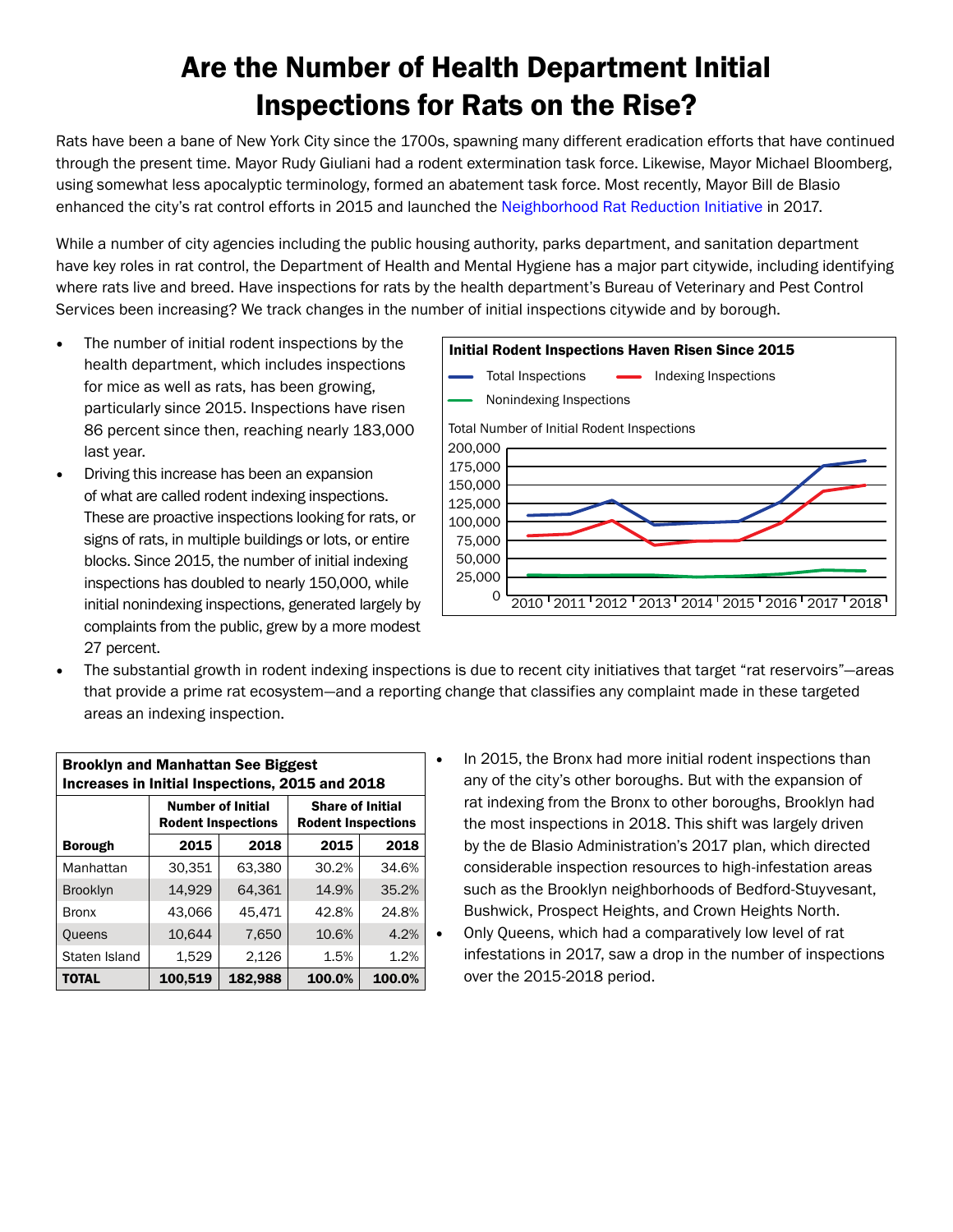## Are the Number of Health Department Initial Inspections for Rats on the Rise?

Rats have been a bane of New York City since the 1700s, spawning many different eradication efforts that have continued through the present time. Mayor Rudy Giuliani had a rodent extermination task force. Likewise, Mayor Michael Bloomberg, using somewhat less apocalyptic terminology, formed an abatement task force. Most recently, Mayor Bill de Blasio enhanced the city's rat control efforts in 2015 and launched the [Neighborhood Rat Reduction Initiative](https://www1.nyc.gov/office-of-the-mayor/news/472-17/de-blasio-administration-32-million-neighborhood-rat-reduction-plan#/0) in 2017.

While a number of city agencies including the public housing authority, parks department, and sanitation department have key roles in rat control, the Department of Health and Mental Hygiene has a major part citywide, including identifying where rats live and breed. Have inspections for rats by the health department's Bureau of Veterinary and Pest Control Services been increasing? We track changes in the number of initial inspections citywide and by borough.

- The number of initial rodent inspections by the health department, which includes inspections for mice as well as rats, has been growing, particularly since 2015. Inspections have risen 86 percent since then, reaching nearly 183,000 last year.
- Driving this increase has been an expansion of what are called rodent indexing inspections. These are proactive inspections looking for rats, or signs of rats, in multiple buildings or lots, or entire blocks. Since 2015, the number of initial indexing inspections has doubled to nearly 150,000, while initial nonindexing inspections, generated largely by complaints from the public, grew by a more modest 27 percent.



• The substantial growth in rodent indexing inspections is due to recent city initiatives that target "rat reservoirs"—areas that provide a prime rat ecosystem—and a reporting change that classifies any complaint made in these targeted areas an indexing inspection.

| <b>Brooklyn and Manhattan See Biggest</b><br>Increases in Initial Inspections, 2015 and 2018 |                                                       |         |                                                      |        |
|----------------------------------------------------------------------------------------------|-------------------------------------------------------|---------|------------------------------------------------------|--------|
|                                                                                              | <b>Number of Initial</b><br><b>Rodent Inspections</b> |         | <b>Share of Initial</b><br><b>Rodent Inspections</b> |        |
| <b>Borough</b>                                                                               | 2015                                                  | 2018    | 2015                                                 | 2018   |
| Manhattan                                                                                    | 30,351                                                | 63.380  | 30.2%                                                | 34.6%  |
| <b>Brooklyn</b>                                                                              | 14,929                                                | 64.361  | 14.9%                                                | 35.2%  |
| <b>Bronx</b>                                                                                 | 43.066                                                | 45.471  | 42.8%                                                | 24.8%  |
| Queens                                                                                       | 10,644                                                | 7,650   | 10.6%                                                | 4.2%   |
| Staten Island                                                                                | 1,529                                                 | 2,126   | 1.5%                                                 | 1.2%   |
| <b>TOTAL</b>                                                                                 | 100,519                                               | 182,988 | 100.0%                                               | 100.0% |

In 2015, the Bronx had more initial rodent inspections than any of the city's other boroughs. But with the expansion of rat indexing from the Bronx to other boroughs, Brooklyn had the most inspections in 2018. This shift was largely driven by the de Blasio Administration's 2017 plan, which directed considerable inspection resources to high-infestation areas such as the Brooklyn neighborhoods of Bedford-Stuyvesant, Bushwick, Prospect Heights, and Crown Heights North. • Only Queens, which had a comparatively low level of rat infestations in 2017, saw a drop in the number of inspections over the 2015-2018 period.